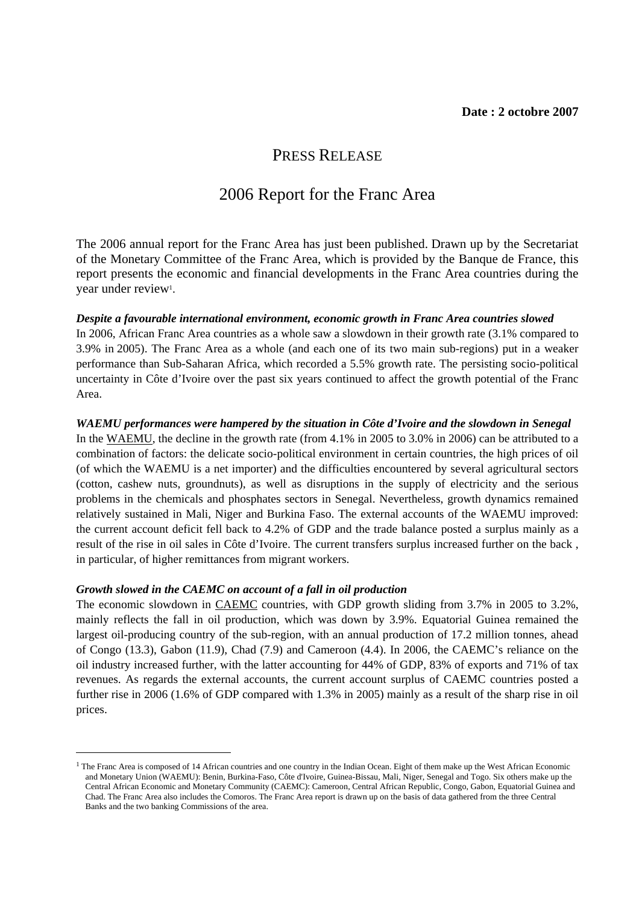# PRESS RELEASE

# 2006 Report for the Franc Area

The 2006 annual report for the Franc Area has just been published. Drawn up by the Secretariat of the Monetary Committee of the Franc Area, which is provided by the Banque de France, this report presents the economic and financial developments in the Franc Area countries during the year under review<sup>1</sup>.

## *Despite a favourable international environment, economic growth in Franc Area countries slowed*

In 2006, African Franc Area countries as a whole saw a slowdown in their growth rate (3.1% compared to 3.9% in 2005). The Franc Area as a whole (and each one of its two main sub-regions) put in a weaker performance than Sub-Saharan Africa, which recorded a 5.5% growth rate. The persisting socio-political uncertainty in Côte d'Ivoire over the past six years continued to affect the growth potential of the Franc Area.

## *WAEMU performances were hampered by the situation in Côte d'Ivoire and the slowdown in Senegal*

In the WAEMU, the decline in the growth rate (from 4.1% in 2005 to 3.0% in 2006) can be attributed to a combination of factors: the delicate socio-political environment in certain countries, the high prices of oil (of which the WAEMU is a net importer) and the difficulties encountered by several agricultural sectors (cotton, cashew nuts, groundnuts), as well as disruptions in the supply of electricity and the serious problems in the chemicals and phosphates sectors in Senegal. Nevertheless, growth dynamics remained relatively sustained in Mali, Niger and Burkina Faso. The external accounts of the WAEMU improved: the current account deficit fell back to 4.2% of GDP and the trade balance posted a surplus mainly as a result of the rise in oil sales in Côte d'Ivoire. The current transfers surplus increased further on the back , in particular, of higher remittances from migrant workers.

### *Growth slowed in the CAEMC on account of a fall in oil production*

 $\overline{a}$ 

The economic slowdown in CAEMC countries, with GDP growth sliding from 3.7% in 2005 to 3.2%, mainly reflects the fall in oil production, which was down by 3.9%. Equatorial Guinea remained the largest oil-producing country of the sub-region, with an annual production of 17.2 million tonnes, ahead of Congo (13.3), Gabon (11.9), Chad (7.9) and Cameroon (4.4). In 2006, the CAEMC's reliance on the oil industry increased further, with the latter accounting for 44% of GDP, 83% of exports and 71% of tax revenues. As regards the external accounts, the current account surplus of CAEMC countries posted a further rise in 2006 (1.6% of GDP compared with 1.3% in 2005) mainly as a result of the sharp rise in oil prices.

<sup>&</sup>lt;sup>1</sup> The Franc Area is composed of 14 African countries and one country in the Indian Ocean. Eight of them make up the West African Economic and Monetary Union (WAEMU): Benin, Burkina-Faso, Côte d'Ivoire, Guinea-Bissau, Mali, Niger, Senegal and Togo. Six others make up the Central African Economic and Monetary Community (CAEMC): Cameroon, Central African Republic, Congo, Gabon, Equatorial Guinea and Chad. The Franc Area also includes the Comoros. The Franc Area report is drawn up on the basis of data gathered from the three Central Banks and the two banking Commissions of the area.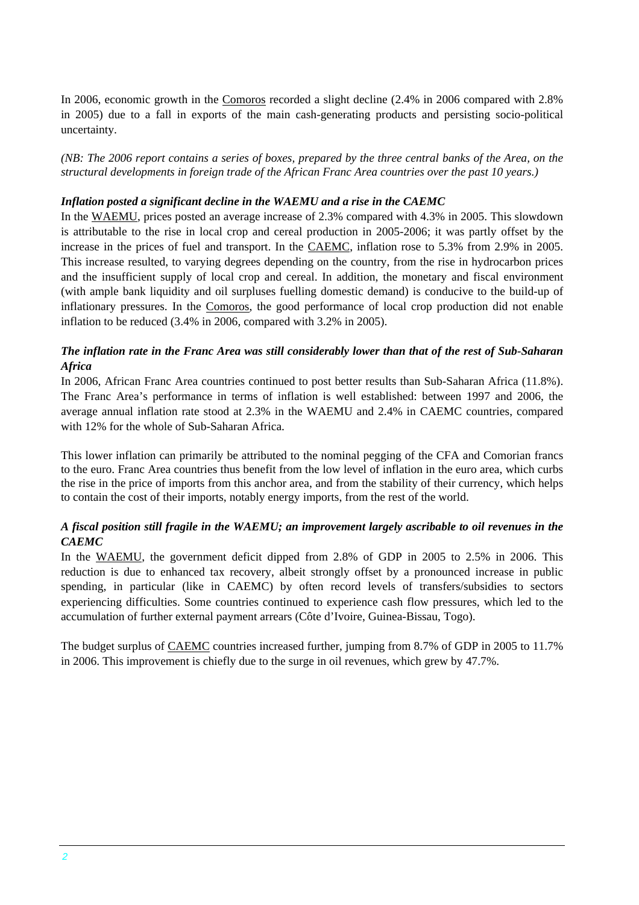In 2006, economic growth in the Comoros recorded a slight decline (2.4% in 2006 compared with 2.8% in 2005) due to a fall in exports of the main cash-generating products and persisting socio-political uncertainty.

*(NB: The 2006 report contains a series of boxes, prepared by the three central banks of the Area, on the structural developments in foreign trade of the African Franc Area countries over the past 10 years.)* 

## *Inflation posted a significant decline in the WAEMU and a rise in the CAEMC*

In the WAEMU, prices posted an average increase of 2.3% compared with 4.3% in 2005. This slowdown is attributable to the rise in local crop and cereal production in 2005-2006; it was partly offset by the increase in the prices of fuel and transport. In the CAEMC, inflation rose to 5.3% from 2.9% in 2005. This increase resulted, to varying degrees depending on the country, from the rise in hydrocarbon prices and the insufficient supply of local crop and cereal. In addition, the monetary and fiscal environment (with ample bank liquidity and oil surpluses fuelling domestic demand) is conducive to the build-up of inflationary pressures. In the Comoros, the good performance of local crop production did not enable inflation to be reduced (3.4% in 2006, compared with 3.2% in 2005).

## *The inflation rate in the Franc Area was still considerably lower than that of the rest of Sub-Saharan Africa*

In 2006, African Franc Area countries continued to post better results than Sub-Saharan Africa (11.8%). The Franc Area's performance in terms of inflation is well established: between 1997 and 2006, the average annual inflation rate stood at 2.3% in the WAEMU and 2.4% in CAEMC countries, compared with 12% for the whole of Sub-Saharan Africa.

This lower inflation can primarily be attributed to the nominal pegging of the CFA and Comorian francs to the euro. Franc Area countries thus benefit from the low level of inflation in the euro area, which curbs the rise in the price of imports from this anchor area, and from the stability of their currency, which helps to contain the cost of their imports, notably energy imports, from the rest of the world.

# *A fiscal position still fragile in the WAEMU; an improvement largely ascribable to oil revenues in the CAEMC*

In the WAEMU, the government deficit dipped from 2.8% of GDP in 2005 to 2.5% in 2006. This reduction is due to enhanced tax recovery, albeit strongly offset by a pronounced increase in public spending, in particular (like in CAEMC) by often record levels of transfers/subsidies to sectors experiencing difficulties. Some countries continued to experience cash flow pressures, which led to the accumulation of further external payment arrears (Côte d'Ivoire, Guinea-Bissau, Togo).

The budget surplus of CAEMC countries increased further, jumping from 8.7% of GDP in 2005 to 11.7% in 2006. This improvement is chiefly due to the surge in oil revenues, which grew by 47.7%.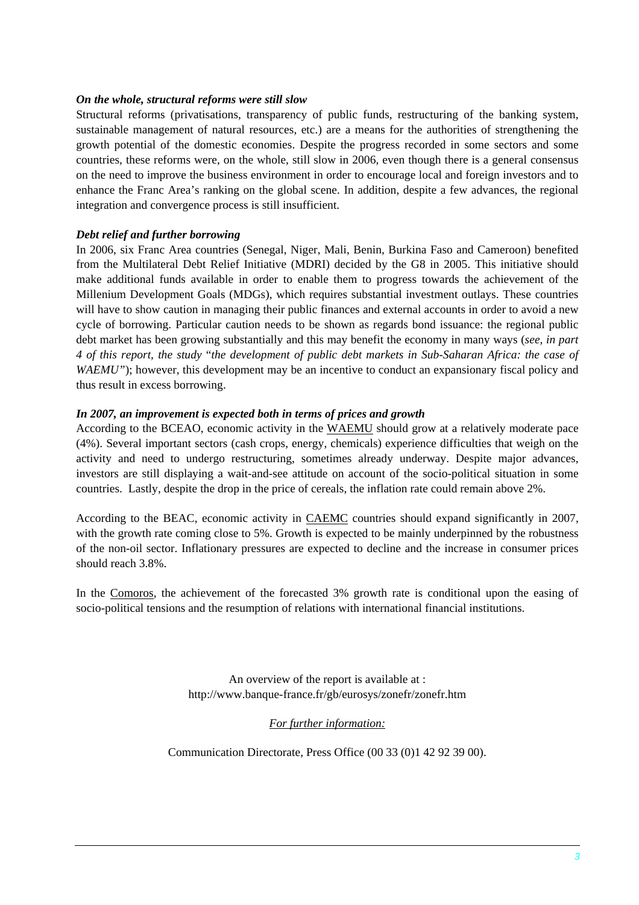### *On the whole, structural reforms were still slow*

Structural reforms (privatisations, transparency of public funds, restructuring of the banking system, sustainable management of natural resources, etc.) are a means for the authorities of strengthening the growth potential of the domestic economies. Despite the progress recorded in some sectors and some countries, these reforms were, on the whole, still slow in 2006, even though there is a general consensus on the need to improve the business environment in order to encourage local and foreign investors and to enhance the Franc Area's ranking on the global scene. In addition, despite a few advances, the regional integration and convergence process is still insufficient.

## *Debt relief and further borrowing*

In 2006, six Franc Area countries (Senegal, Niger, Mali, Benin, Burkina Faso and Cameroon) benefited from the Multilateral Debt Relief Initiative (MDRI) decided by the G8 in 2005. This initiative should make additional funds available in order to enable them to progress towards the achievement of the Millenium Development Goals (MDGs), which requires substantial investment outlays. These countries will have to show caution in managing their public finances and external accounts in order to avoid a new cycle of borrowing. Particular caution needs to be shown as regards bond issuance: the regional public debt market has been growing substantially and this may benefit the economy in many ways (*see, in part 4 of this report, the study* "*the development of public debt markets in Sub-Saharan Africa: the case of WAEMU"*); however, this development may be an incentive to conduct an expansionary fiscal policy and thus result in excess borrowing.

## *In 2007, an improvement is expected both in terms of prices and growth*

According to the BCEAO, economic activity in the WAEMU should grow at a relatively moderate pace (4%). Several important sectors (cash crops, energy, chemicals) experience difficulties that weigh on the activity and need to undergo restructuring, sometimes already underway. Despite major advances, investors are still displaying a wait-and-see attitude on account of the socio-political situation in some countries. Lastly, despite the drop in the price of cereals, the inflation rate could remain above 2%.

According to the BEAC, economic activity in CAEMC countries should expand significantly in 2007, with the growth rate coming close to 5%. Growth is expected to be mainly underpinned by the robustness of the non-oil sector. Inflationary pressures are expected to decline and the increase in consumer prices should reach 3.8%.

In the Comoros, the achievement of the forecasted 3% growth rate is conditional upon the easing of socio-political tensions and the resumption of relations with international financial institutions.

> An overview of the report is available at : http://www.banque-france.fr/gb/eurosys/zonefr/zonefr.htm

## *For further information:*

Communication Directorate, Press Office (00 33 (0)1 42 92 39 00).